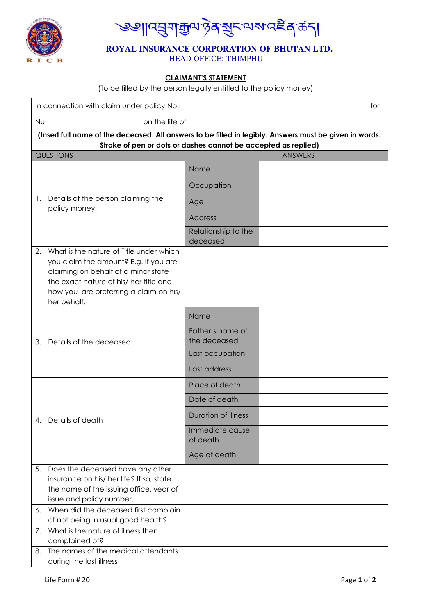

<mark>୭୬</mark>ຐ౸য়ৢয়ড়ৢ৸ৡ৾৾ঀ<sup>৻</sup>য়ৢৼ৾<sup>৻</sup>৸য়৻৻৻ৼৣৠ৾ৼঢ়ৗ

## **ROYAL INSURANCE CORPORATION OF BHUTAN LTD.** HEAD OFFICE: THIMPHU

## **CLAIMANT'S STATEMENT**

(To be filled by the person legally entitled to the policy money)

|     | In connection with claim under policy No.<br>for                                                                                                                                                                           |                                  |  |  |  |
|-----|----------------------------------------------------------------------------------------------------------------------------------------------------------------------------------------------------------------------------|----------------------------------|--|--|--|
| Nu. | on the life of                                                                                                                                                                                                             |                                  |  |  |  |
|     | (Insert full name of the deceased. All answers to be filled in legibly. Answers must be given in words.                                                                                                                    |                                  |  |  |  |
|     | Stroke of pen or dots or dashes cannot be accepted as replied)<br><b>QUESTIONS</b><br><b>ANSWERS</b>                                                                                                                       |                                  |  |  |  |
|     |                                                                                                                                                                                                                            |                                  |  |  |  |
|     | Details of the person claiming the<br>policy money.                                                                                                                                                                        | Name                             |  |  |  |
|     |                                                                                                                                                                                                                            | Occupation                       |  |  |  |
| 1.  |                                                                                                                                                                                                                            | Age                              |  |  |  |
|     |                                                                                                                                                                                                                            | <b>Address</b>                   |  |  |  |
|     |                                                                                                                                                                                                                            | Relationship to the<br>deceased  |  |  |  |
| 2.  | What is the nature of Title under which<br>you claim the amount? E.g. If you are<br>claiming on behalf of a minor state<br>the exact nature of his/ her title and<br>how you are preferring a claim on his/<br>her behalf. |                                  |  |  |  |
|     | Details of the deceased                                                                                                                                                                                                    | Name                             |  |  |  |
| 3.  |                                                                                                                                                                                                                            | Father's name of<br>the deceased |  |  |  |
|     |                                                                                                                                                                                                                            | Last occupation                  |  |  |  |
|     |                                                                                                                                                                                                                            | Last address                     |  |  |  |
|     | 4. Details of death                                                                                                                                                                                                        | Place of death                   |  |  |  |
|     |                                                                                                                                                                                                                            | Date of death                    |  |  |  |
|     |                                                                                                                                                                                                                            | <b>Duration of illness</b>       |  |  |  |
|     |                                                                                                                                                                                                                            | Immediate cause<br>of death      |  |  |  |
|     |                                                                                                                                                                                                                            | Age at death                     |  |  |  |
| 5.  | Does the deceased have any other<br>insurance on his/ her life? If so, state<br>the name of the issuing office, year of<br>issue and policy number.                                                                        |                                  |  |  |  |
| 6.  | When did the deceased first complain<br>of not being in usual good health?                                                                                                                                                 |                                  |  |  |  |
| 7.  | What is the nature of illness then<br>complained of?                                                                                                                                                                       |                                  |  |  |  |
| 8.  | The names of the medical attendants<br>during the last illness                                                                                                                                                             |                                  |  |  |  |